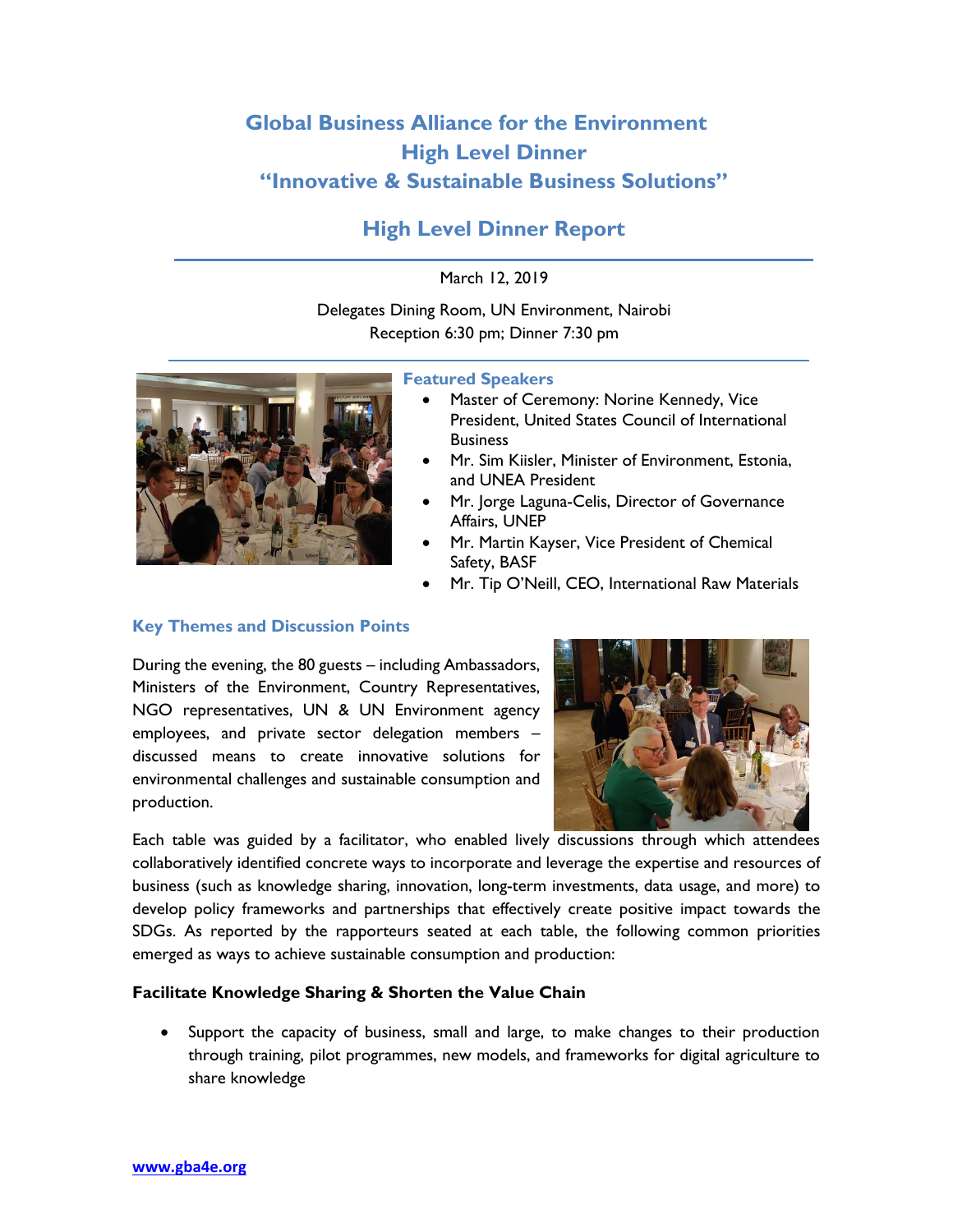# **Global Business Alliance for the Environment High Level Dinner "Innovative & Sustainable Business Solutions"**

# **High Level Dinner Report**

# March 12, 2019

Delegates Dining Room, UN Environment, Nairobi Reception 6:30 pm; Dinner 7:30 pm



#### **Featured Speakers**

- Master of Ceremony: Norine Kennedy, Vice President, United States Council of International **Business**
- Mr. Sim Kiisler, Minister of Environment, Estonia, and UNEA President
- Mr. Jorge Laguna-Celis, Director of Governance Affairs, UNEP
- Mr. Martin Kayser, Vice President of Chemical Safety, BASF
- Mr. Tip O'Neill, CEO, International Raw Materials

### **Key Themes and Discussion Points**

During the evening, the 80 guests – including Ambassadors, Ministers of the Environment, Country Representatives, NGO representatives, UN & UN Environment agency employees, and private sector delegation members – discussed means to create innovative solutions for environmental challenges and sustainable consumption and production.



Each table was guided by a facilitator, who enabled lively discussions through which attendees collaboratively identified concrete ways to incorporate and leverage the expertise and resources of business (such as knowledge sharing, innovation, long-term investments, data usage, and more) to develop policy frameworks and partnerships that effectively create positive impact towards the SDGs. As reported by the rapporteurs seated at each table, the following common priorities emerged as ways to achieve sustainable consumption and production:

# **Facilitate Knowledge Sharing & Shorten the Value Chain**

Support the capacity of business, small and large, to make changes to their production through training, pilot programmes, new models, and frameworks for digital agriculture to share knowledge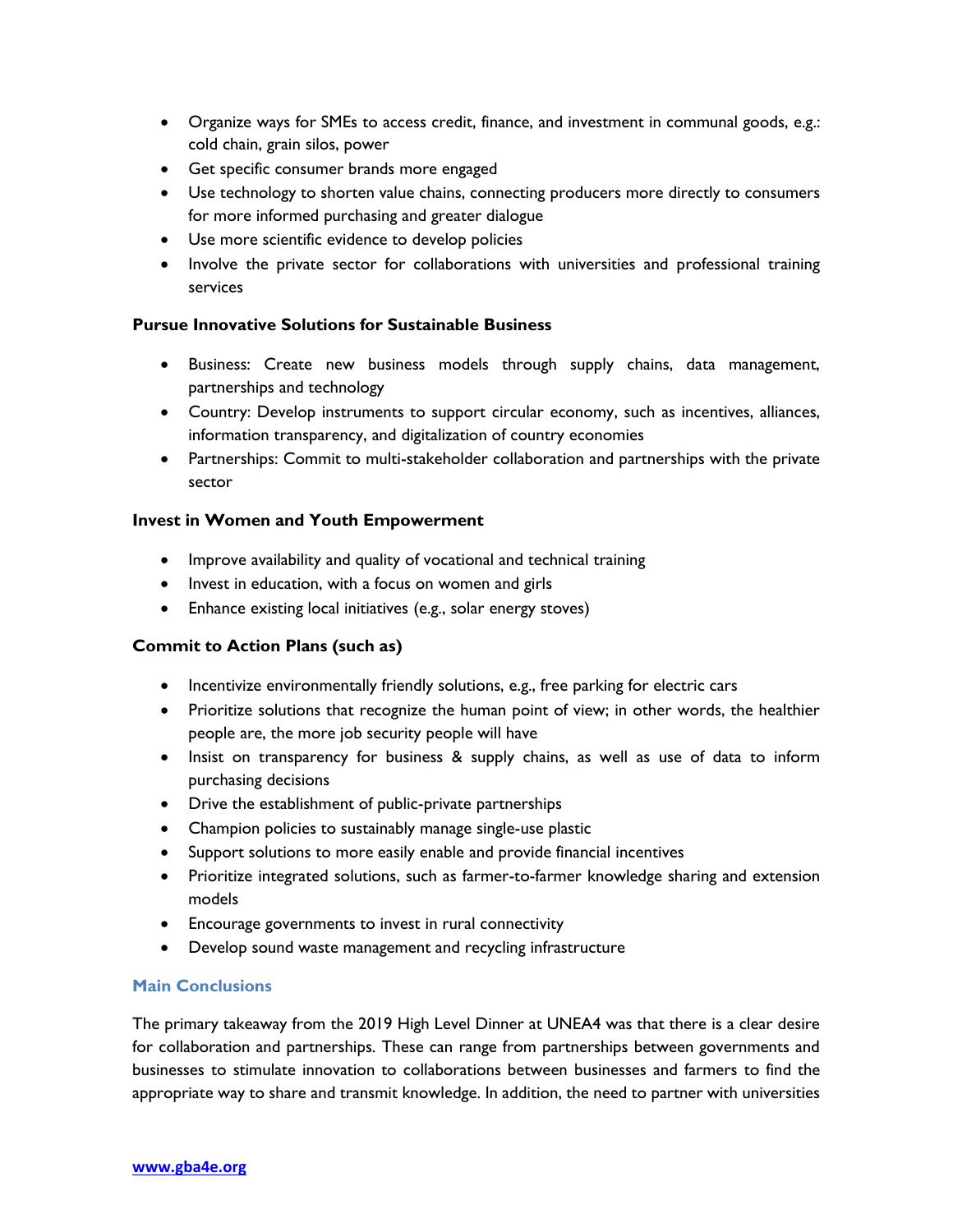- Organize ways for SMEs to access credit, finance, and investment in communal goods, e.g.: cold chain, grain silos, power
- Get specific consumer brands more engaged
- Use technology to shorten value chains, connecting producers more directly to consumers for more informed purchasing and greater dialogue
- Use more scientific evidence to develop policies
- Involve the private sector for collaborations with universities and professional training services

### **Pursue Innovative Solutions for Sustainable Business**

- Business: Create new business models through supply chains, data management, partnerships and technology
- Country: Develop instruments to support circular economy, such as incentives, alliances, information transparency, and digitalization of country economies
- Partnerships: Commit to multi-stakeholder collaboration and partnerships with the private sector

### **Invest in Women and Youth Empowerment**

- Improve availability and quality of vocational and technical training
- Invest in education, with a focus on women and girls
- Enhance existing local initiatives (e.g., solar energy stoves)

# **Commit to Action Plans (such as)**

- Incentivize environmentally friendly solutions, e.g., free parking for electric cars
- Prioritize solutions that recognize the human point of view; in other words, the healthier people are, the more job security people will have
- Insist on transparency for business & supply chains, as well as use of data to inform purchasing decisions
- Drive the establishment of public-private partnerships
- Champion policies to sustainably manage single-use plastic
- Support solutions to more easily enable and provide financial incentives
- Prioritize integrated solutions, such as farmer-to-farmer knowledge sharing and extension models
- Encourage governments to invest in rural connectivity
- Develop sound waste management and recycling infrastructure

### **Main Conclusions**

The primary takeaway from the 2019 High Level Dinner at UNEA4 was that there is a clear desire for collaboration and partnerships. These can range from partnerships between governments and businesses to stimulate innovation to collaborations between businesses and farmers to find the appropriate way to share and transmit knowledge. In addition, the need to partner with universities